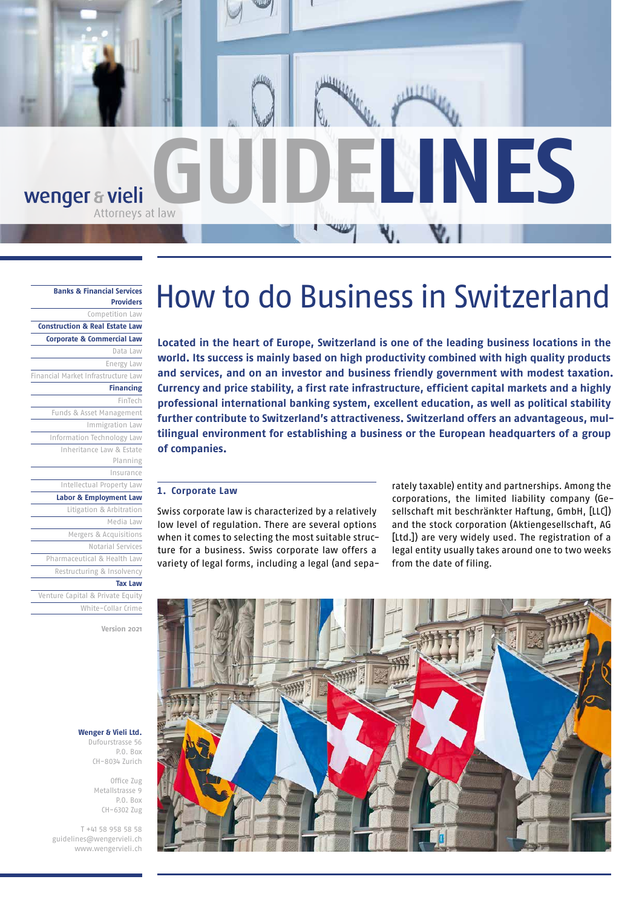

#### **[Banks & Financial Services](https://www.wengervieli.ch/en-us/expertise/banken-finanzdienstleister)  [Providers](https://www.wengervieli.ch/en-us/expertise/banken-finanzdienstleister)**

| гічныя                                    |
|-------------------------------------------|
| Competition Law                           |
| <b>Construction &amp; Real Estate Law</b> |
| <b>Corporate &amp; Commercial Law</b>     |
| Data Law                                  |
| Energy Law                                |
| Financial Market Infrastructure Law       |
| <b>Financing</b>                          |
| FinTech                                   |
| Funds & Asset Management                  |
| Immigration Law                           |
| Information Technology Law                |
| Inheritance Law & Estate                  |
| Planning                                  |
| Insurance                                 |
| Intellectual Property Law                 |
| Labor & Employment Law                    |

[Litigation & Arbitration](https://www.wengervieli.ch/en-us/expertise/prozessfuhrung-schiedsgerichtsbarkeit) [Media Law](https://www.wengervieli.ch/en-us/expertise/medienrecht) [Mergers & Acquisitions](https://www.wengervieli.ch/en-us/expertise/mergers-acquisitions) [Notarial Services](https://www.wengervieli.ch/en-us/expertise/notariat)

[Pharmaceutical & Health Law](https://www.wengervieli.ch/en-us/expertise/pharma-gesundheitsrecht) [Restructuring & Insolvency](https://www.wengervieli.ch/en-us/expertise/restrukturierung-insolvenz)

#### **[Tax Law](https://www.wengervieli.ch/en-us/expertise/steuerrecht)**

[Venture Capital & Private Equity](https://www.wengervieli.ch/en-us/expertise/venture-capital-private-equity) [White-Collar Crime](https://www.wengervieli.ch/en-us/expertise/wirtschaftsstrafrecht)

**Version 2021**

### **Wenger & Vieli Ltd.**

Dufourstrasse 56 P.O. Box CH-8034 Zurich

> Office Zug Metallstrasse 9 P.O. Box CH-6302 Zug

T +41 58 958 58 58 [guidelines@wengervieli.ch](mailto:guidelines%40wengervieli.ch?subject=) [www.wengervieli.ch](http://www.wengervieli.ch/?lang=en-US)

# How to do Business in Switzerland

**Located in the heart of Europe, Switzerland is one of the leading business locations in the world. Its success is mainly based on high productivity combined with high quality products and services, and on an investor and business friendly government with modest taxation. Currency and price stability, a first rate infrastructure, efficient capital markets and a highly professional international banking system, excellent education, as well as political stability further contribute to Switzerland's attractiveness. Switzerland offers an advantageous, multilingual environment for establishing a business or the European headquarters of a group of companies.**

## **1. Corporate Law**

Swiss corporate law is characterized by a relatively low level of regulation. There are several options when it comes to selecting the most suitable structure for a business. Swiss corporate law offers a variety of legal forms, including a legal (and separately taxable) entity and partnerships. Among the corporations, the limited liability company (Gesellschaft mit beschränkter Haftung, GmbH, [LLC]) and the stock corporation (Aktiengesellschaft, AG [Ltd.]) are very widely used. The registration of a legal entity usually takes around one to two weeks from the date of filing.

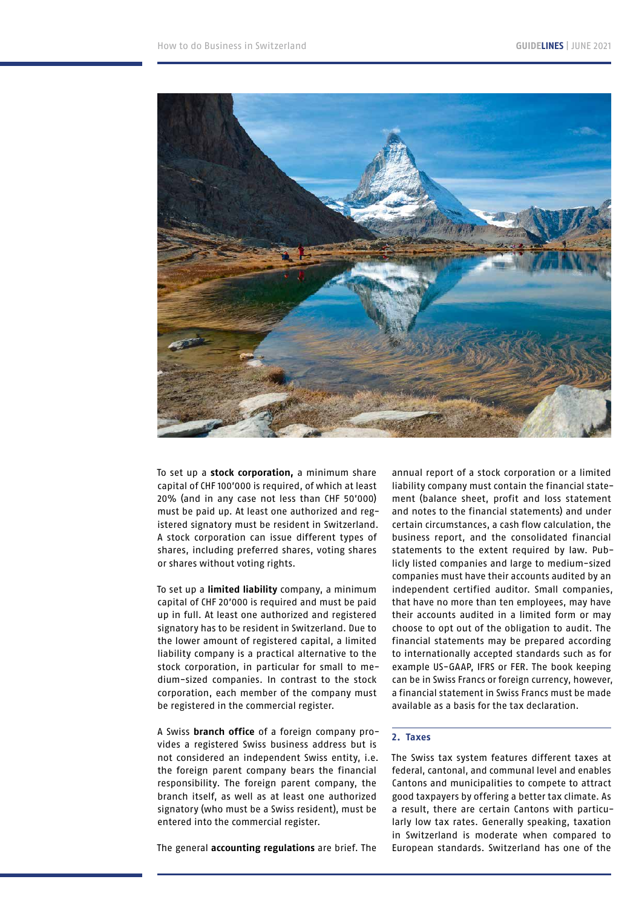

To set up a **stock corporation,** a minimum share capital of CHF 100'000 is required, of which at least 20% (and in any case not less than CHF 50'000) must be paid up. At least one authorized and registered signatory must be resident in Switzerland. A stock corporation can issue different types of shares, including preferred shares, voting shares or shares without voting rights.

To set up a **limited liability** company, a minimum capital of CHF 20'000 is required and must be paid up in full. At least one authorized and registered signatory has to be resident in Switzerland. Due to the lower amount of registered capital, a limited liability company is a practical alternative to the stock corporation, in particular for small to medium-sized companies. In contrast to the stock corporation, each member of the company must be registered in the commercial register.

A Swiss **branch office** of a foreign company provides a registered Swiss business address but is not considered an independent Swiss entity, i.e. the foreign parent company bears the financial responsibility. The foreign parent company, the branch itself, as well as at least one authorized signatory (who must be a Swiss resident), must be entered into the commercial register.

The general **accounting regulations** are brief. The

annual report of a stock corporation or a limited liability company must contain the financial statement (balance sheet, profit and loss statement and notes to the financial statements) and under certain circumstances, a cash flow calculation, the business report, and the consolidated financial statements to the extent required by law. Publicly listed companies and large to medium-sized companies must have their accounts audited by an independent certified auditor. Small companies, that have no more than ten employees, may have their accounts audited in a limited form or may choose to opt out of the obligation to audit. The financial statements may be prepared according to internationally accepted standards such as for example US-GAAP, IFRS or FER. The book keeping can be in Swiss Francs or foreign currency, however, a financial statement in Swiss Francs must be made available as a basis for the tax declaration.

## **2. Taxes**

The Swiss tax system features different taxes at federal, cantonal, and communal level and enables Cantons and municipalities to compete to attract good taxpayers by offering a better tax climate. As a result, there are certain Cantons with particularly low tax rates. Generally speaking, taxation in Switzerland is moderate when compared to European standards. Switzerland has one of the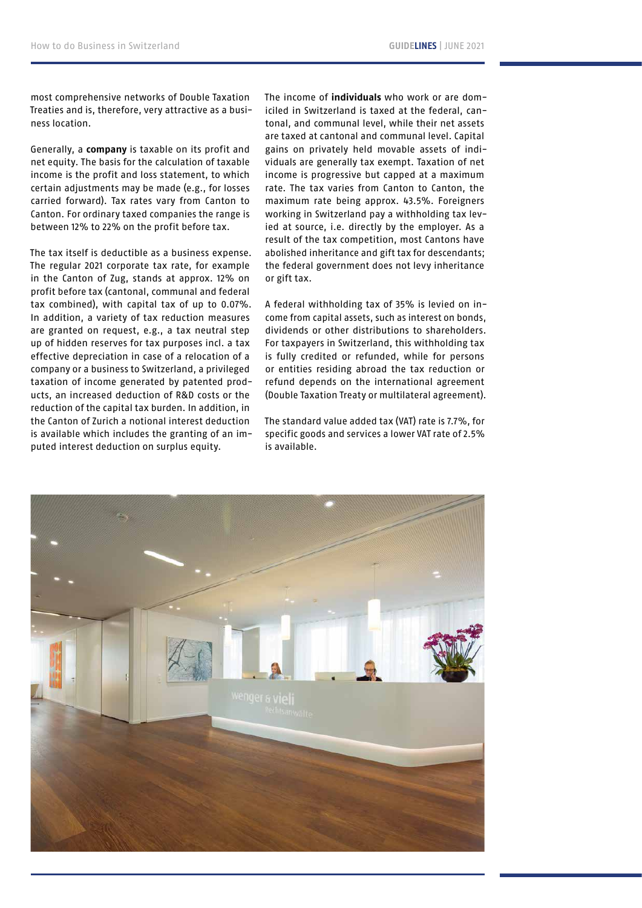most comprehensive networks of Double Taxation Treaties and is, therefore, very attractive as a business location.

Generally, a **company** is taxable on its profit and net equity. The basis for the calculation of taxable income is the profit and loss statement, to which certain adjustments may be made (e.g., for losses carried forward). Tax rates vary from Canton to Canton. For ordinary taxed companies the range is between 12% to 22% on the profit before tax.

The tax itself is deductible as a business expense. The regular 2021 corporate tax rate, for example in the Canton of Zug, stands at approx. 12% on profit before tax (cantonal, communal and federal tax combined), with capital tax of up to 0.07%. In addition, a variety of tax reduction measures are granted on request, e.g., a tax neutral step up of hidden reserves for tax purposes incl. a tax effective depreciation in case of a relocation of a company or a business to Switzerland, a privileged taxation of income generated by patented products, an increased deduction of R&D costs or the reduction of the capital tax burden. In addition, in the Canton of Zurich a notional interest deduction is available which includes the granting of an imputed interest deduction on surplus equity.

The income of **individuals** who work or are domiciled in Switzerland is taxed at the federal, cantonal, and communal level, while their net assets are taxed at cantonal and communal level. Capital gains on privately held movable assets of individuals are generally tax exempt. Taxation of net income is progressive but capped at a maximum rate. The tax varies from Canton to Canton, the maximum rate being approx. 43.5%. Foreigners working in Switzerland pay a withholding tax levied at source, i.e. directly by the employer. As a result of the tax competition, most Cantons have abolished inheritance and gift tax for descendants; the federal government does not levy inheritance or gift tax.

A federal withholding tax of 35% is levied on income from capital assets, such as interest on bonds, dividends or other distributions to shareholders. For taxpayers in Switzerland, this withholding tax is fully credited or refunded, while for persons or entities residing abroad the tax reduction or refund depends on the international agreement (Double Taxation Treaty or multilateral agreement).

The standard value added tax (VAT) rate is 7.7%, for specific goods and services a lower VAT rate of 2.5% is available.